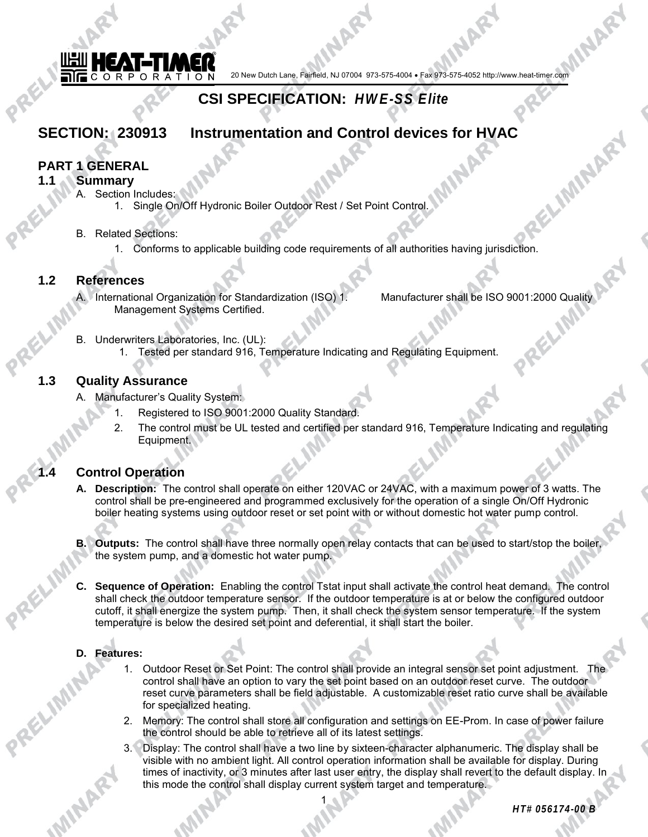

20 New Dutch Lane, Fairfield, NJ 07004 973-575-4004 • Fax 973-575-4052 http://www.heat-timer.com

# **CSI SPECIFICATION:** *HWE-SS Elite*

# **SECTION: 230913 Instrumentation and Control devices for HVAC**

# **PART 1 GENERAL**

#### **1.1 Summary**

- A. Section Includes:
	- 1. Single On/Off Hydronic Boiler Outdoor Rest / Set Point Control.
- B. Related Sections:
	- 1. Conforms to applicable building code requirements of all authorities having jurisdiction.

## **1.2 References**

A. International Organization for Standardization (ISO) 1. Manufacturer shall be ISO 9001:2000 Quality Management Systems Certified.

- B. Underwriters Laboratories, Inc. (UL):
	- 1. Tested per standard 916, Temperature Indicating and Regulating Equipment.

## **1.3 Quality Assurance**

- A. Manufacturer's Quality System:
	- Registered to ISO 9001:2000 Quality Standard.
	- 2. The control must be UL tested and certified per standard 916, Temperature Indicating and regulating Equipment.

# **1.4 Control Operation**

- **A. Description:** The control shall operate on either 120VAC or 24VAC, with a maximum power of 3 watts. The control shall be pre-engineered and programmed exclusively for the operation of a single On/Off Hydronic boiler heating systems using outdoor reset or set point with or without domestic hot water pump control.
- **B. Outputs:** The control shall have three normally open relay contacts that can be used to start/stop the boiler, the system pump, and a domestic hot water pump.
- **C. Sequence of Operation:** Enabling the control Tstat input shall activate the control heat demand. The control shall check the outdoor temperature sensor. If the outdoor temperature is at or below the configured outdoor cutoff, it shall energize the system pump. Then, it shall check the system sensor temperature. If the system temperature is below the desired set point and deferential, it shall start the boiler.

#### **D. Features:**

- 1. Outdoor Reset or Set Point: The control shall provide an integral sensor set point adjustment. The control shall have an option to vary the set point based on an outdoor reset curve. The outdoor reset curve parameters shall be field adjustable. A customizable reset ratio curve shall be available for specialized heating.
- 2. Memory: The control shall store all configuration and settings on EE-Prom. In case of power failure the control should be able to retrieve all of its latest settings.
- 3. Display: The control shall have a two line by sixteen-character alphanumeric. The display shall be visible with no ambient light. All control operation information shall be available for display. During times of inactivity, or 3 minutes after last user entry, the display shall revert to the default display. In this mode the control shall display current system target and temperature.

1